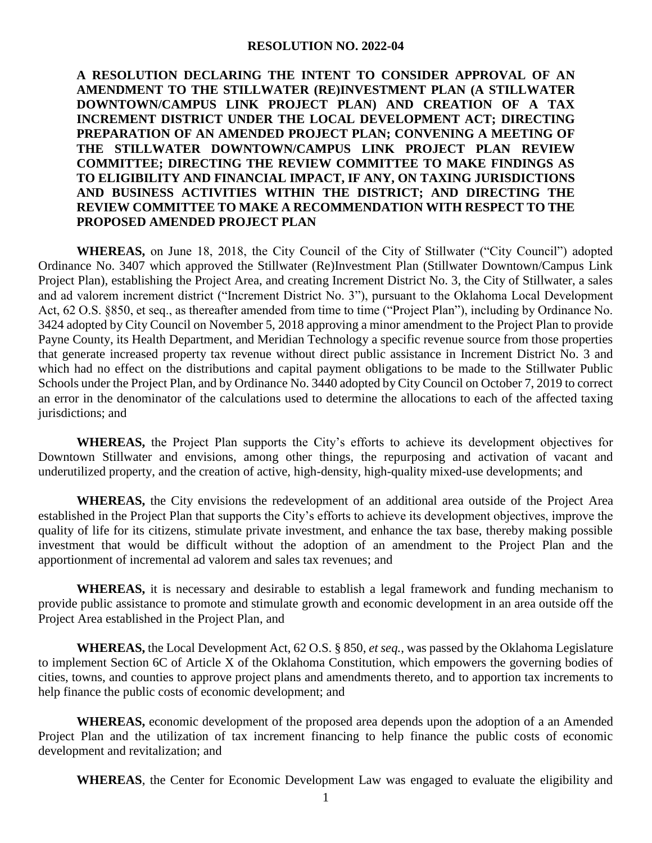## **RESOLUTION NO. 2022-04**

## **A RESOLUTION DECLARING THE INTENT TO CONSIDER APPROVAL OF AN AMENDMENT TO THE STILLWATER (RE)INVESTMENT PLAN (A STILLWATER DOWNTOWN/CAMPUS LINK PROJECT PLAN) AND CREATION OF A TAX INCREMENT DISTRICT UNDER THE LOCAL DEVELOPMENT ACT; DIRECTING PREPARATION OF AN AMENDED PROJECT PLAN; CONVENING A MEETING OF THE STILLWATER DOWNTOWN/CAMPUS LINK PROJECT PLAN REVIEW COMMITTEE; DIRECTING THE REVIEW COMMITTEE TO MAKE FINDINGS AS TO ELIGIBILITY AND FINANCIAL IMPACT, IF ANY, ON TAXING JURISDICTIONS AND BUSINESS ACTIVITIES WITHIN THE DISTRICT; AND DIRECTING THE REVIEW COMMITTEE TO MAKE A RECOMMENDATION WITH RESPECT TO THE PROPOSED AMENDED PROJECT PLAN**

**WHEREAS,** on June 18, 2018, the City Council of the City of Stillwater ("City Council") adopted Ordinance No. 3407 which approved the Stillwater (Re)Investment Plan (Stillwater Downtown/Campus Link Project Plan), establishing the Project Area, and creating Increment District No. 3, the City of Stillwater, a sales and ad valorem increment district ("Increment District No. 3"), pursuant to the Oklahoma Local Development Act, 62 O.S. §850, et seq., as thereafter amended from time to time ("Project Plan"), including by Ordinance No. 3424 adopted by City Council on November 5, 2018 approving a minor amendment to the Project Plan to provide Payne County, its Health Department, and Meridian Technology a specific revenue source from those properties that generate increased property tax revenue without direct public assistance in Increment District No. 3 and which had no effect on the distributions and capital payment obligations to be made to the Stillwater Public Schools under the Project Plan, and by Ordinance No. 3440 adopted by City Council on October 7, 2019 to correct an error in the denominator of the calculations used to determine the allocations to each of the affected taxing jurisdictions; and

**WHEREAS,** the Project Plan supports the City's efforts to achieve its development objectives for Downtown Stillwater and envisions, among other things, the repurposing and activation of vacant and underutilized property, and the creation of active, high-density, high-quality mixed-use developments; and

**WHEREAS,** the City envisions the redevelopment of an additional area outside of the Project Area established in the Project Plan that supports the City's efforts to achieve its development objectives, improve the quality of life for its citizens, stimulate private investment, and enhance the tax base, thereby making possible investment that would be difficult without the adoption of an amendment to the Project Plan and the apportionment of incremental ad valorem and sales tax revenues; and

**WHEREAS,** it is necessary and desirable to establish a legal framework and funding mechanism to provide public assistance to promote and stimulate growth and economic development in an area outside off the Project Area established in the Project Plan, and

**WHEREAS,** the Local Development Act, 62 O.S. § 850, *et seq.*, was passed by the Oklahoma Legislature to implement Section 6C of Article X of the Oklahoma Constitution, which empowers the governing bodies of cities, towns, and counties to approve project plans and amendments thereto, and to apportion tax increments to help finance the public costs of economic development; and

**WHEREAS,** economic development of the proposed area depends upon the adoption of a an Amended Project Plan and the utilization of tax increment financing to help finance the public costs of economic development and revitalization; and

**WHEREAS**, the Center for Economic Development Law was engaged to evaluate the eligibility and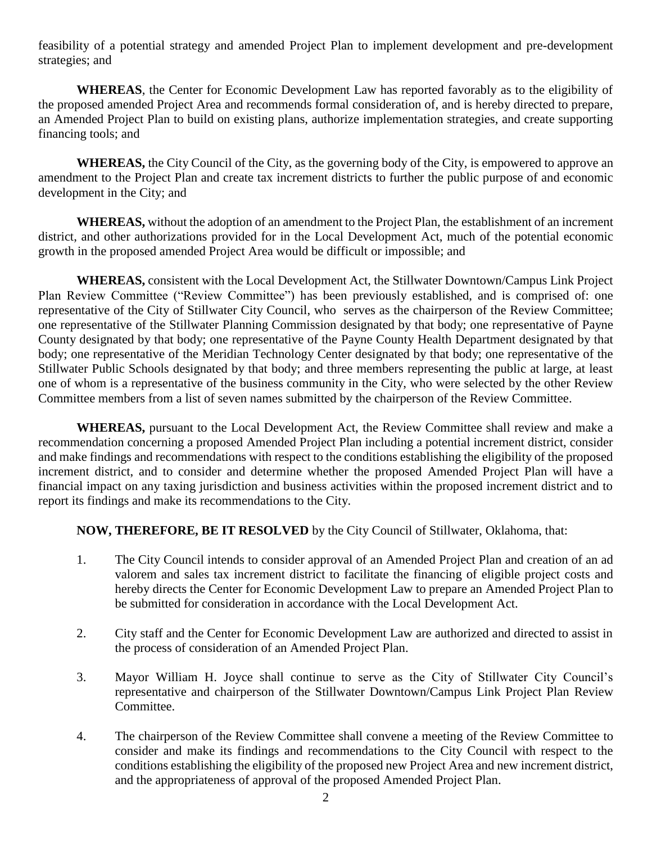feasibility of a potential strategy and amended Project Plan to implement development and pre-development strategies; and

**WHEREAS**, the Center for Economic Development Law has reported favorably as to the eligibility of the proposed amended Project Area and recommends formal consideration of, and is hereby directed to prepare, an Amended Project Plan to build on existing plans, authorize implementation strategies, and create supporting financing tools; and

**WHEREAS,** the City Council of the City, as the governing body of the City, is empowered to approve an amendment to the Project Plan and create tax increment districts to further the public purpose of and economic development in the City; and

**WHEREAS,** without the adoption of an amendment to the Project Plan, the establishment of an increment district, and other authorizations provided for in the Local Development Act, much of the potential economic growth in the proposed amended Project Area would be difficult or impossible; and

**WHEREAS,** consistent with the Local Development Act, the Stillwater Downtown/Campus Link Project Plan Review Committee ("Review Committee") has been previously established, and is comprised of: one representative of the City of Stillwater City Council, who serves as the chairperson of the Review Committee; one representative of the Stillwater Planning Commission designated by that body; one representative of Payne County designated by that body; one representative of the Payne County Health Department designated by that body; one representative of the Meridian Technology Center designated by that body; one representative of the Stillwater Public Schools designated by that body; and three members representing the public at large, at least one of whom is a representative of the business community in the City, who were selected by the other Review Committee members from a list of seven names submitted by the chairperson of the Review Committee.

**WHEREAS,** pursuant to the Local Development Act, the Review Committee shall review and make a recommendation concerning a proposed Amended Project Plan including a potential increment district, consider and make findings and recommendations with respect to the conditions establishing the eligibility of the proposed increment district, and to consider and determine whether the proposed Amended Project Plan will have a financial impact on any taxing jurisdiction and business activities within the proposed increment district and to report its findings and make its recommendations to the City.

## **NOW, THEREFORE, BE IT RESOLVED** by the City Council of Stillwater, Oklahoma, that:

- 1. The City Council intends to consider approval of an Amended Project Plan and creation of an ad valorem and sales tax increment district to facilitate the financing of eligible project costs and hereby directs the Center for Economic Development Law to prepare an Amended Project Plan to be submitted for consideration in accordance with the Local Development Act.
- 2. City staff and the Center for Economic Development Law are authorized and directed to assist in the process of consideration of an Amended Project Plan.
- 3. Mayor William H. Joyce shall continue to serve as the City of Stillwater City Council's representative and chairperson of the Stillwater Downtown/Campus Link Project Plan Review Committee.
- 4. The chairperson of the Review Committee shall convene a meeting of the Review Committee to consider and make its findings and recommendations to the City Council with respect to the conditions establishing the eligibility of the proposed new Project Area and new increment district, and the appropriateness of approval of the proposed Amended Project Plan.